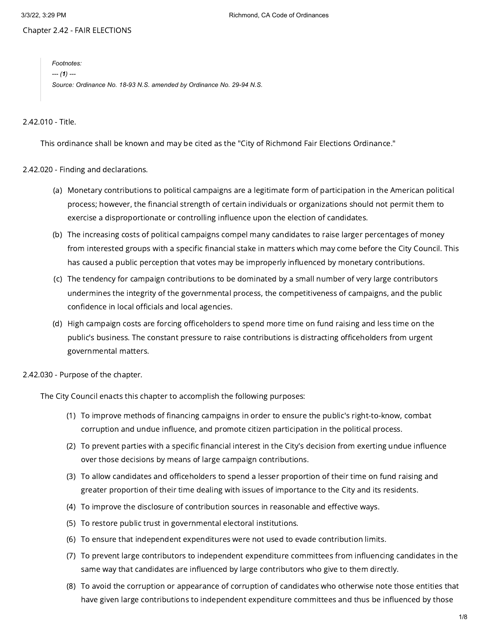Chapter 2.42 - FAIR ELECTIONS

*Footnotes: --- (1) --- Source: Ordinance No. 18-93 N.S. amended by Ordinance No. 29-94 N.S.*

2.42.010 - Title.

This ordinance shall be known and may be cited as the "City of Richmond Fair Elections Ordinance."

2.42.020 - Finding and declarations.

- (a) Monetary contributions to political campaigns are a legitimate form of participation in the American political process; however, the financial strength of certain individuals or organizations should not permit them to exercise a disproportionate or controlling influence upon the election of candidates.
- (b) The increasing costs of political campaigns compel many candidates to raise larger percentages of money from interested groups with a specific financial stake in matters which may come before the City Council. This has caused a public perception that votes may be improperly influenced by monetary contributions.
- (c) The tendency for campaign contributions to be dominated by a small number of very large contributors undermines the integrity of the governmental process, the competitiveness of campaigns, and the public confidence in local officials and local agencies.
- (d) High campaign costs are forcing officeholders to spend more time on fund raising and less time on the public's business. The constant pressure to raise contributions is distracting officeholders from urgent governmental matters.

2.42.030 - Purpose of the chapter.

The City Council enacts this chapter to accomplish the following purposes:

- (1) To improve methods of financing campaigns in order to ensure the public's right-to-know, combat corruption and undue influence, and promote citizen participation in the political process.
- (2) To prevent parties with a specific financial interest in the City's decision from exerting undue influence over those decisions by means of large campaign contributions.
- (3) To allow candidates and officeholders to spend a lesser proportion of their time on fund raising and greater proportion of their time dealing with issues of importance to the City and its residents.
- (4) To improve the disclosure of contribution sources in reasonable and effective ways.
- (5) To restore public trust in governmental electoral institutions.
- (6) To ensure that independent expenditures were not used to evade contribution limits.
- (7) To prevent large contributors to independent expenditure committees from influencing candidates in the same way that candidates are influenced by large contributors who give to them directly.
- (8) To avoid the corruption or appearance of corruption of candidates who otherwise note those entities that have given large contributions to independent expenditure committees and thus be influenced by those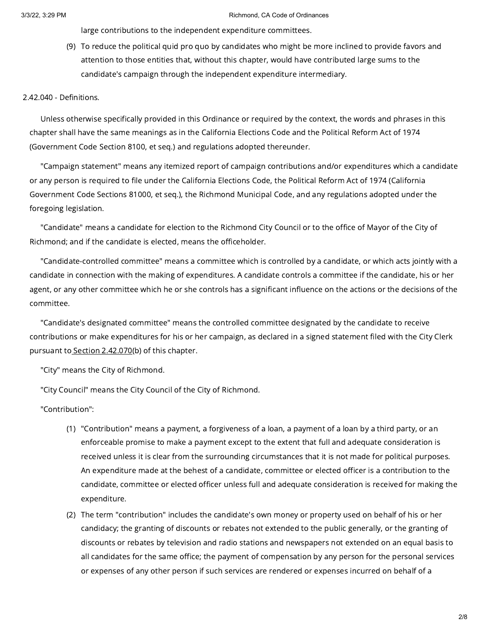large contributions to the independent expenditure committees.

(9) To reduce the political quid pro quo by candidates who might be more inclined to provide favors and attention to those entities that, without this chapter, would have contributed large sums to the candidate's campaign through the independent expenditure intermediary.

2.42.040 - Definitions.

Unless otherwise specifically provided in this Ordinance or required by the context, the words and phrases in this chapter shall have the same meanings as in the California Elections Code and the Political Reform Act of 1974 (Government Code Section 8100, et seq.) and regulations adopted thereunder.

"Campaign statement" means any itemized report of campaign contributions and/or expenditures which a candidate or any person is required to file under the California Elections Code, the Political Reform Act of 1974 (California Government Code Sections 81000, et seq.), the Richmond Municipal Code, and any regulations adopted under the foregoing legislation.

"Candidate" means a candidate for election to the Richmond City Council or to the office of Mayor of the City of Richmond; and if the candidate is elected, means the officeholder.

"Candidate-controlled committee" means a committee which is controlled by a candidate, or which acts jointly with a candidate in connection with the making of expenditures. A candidate controls a committee if the candidate, his or her agent, or any other committee which he or she controls has a significant influence on the actions or the decisions of the committee.

"Candidate's designated committee" means the controlled committee designated by the candidate to receive contributions or make expenditures for his or her campaign, as declared in a signed statement filed with the City Clerk pursuant to Section [2.42.070\(](https://library.municode.com/)b) of this chapter.

"City" means the City of Richmond.

"City Council" means the City Council of the City of Richmond.

"Contribution":

- (1) "Contribution" means a payment, a forgiveness of a loan, a payment of a loan by a third party, or an enforceable promise to make a payment except to the extent that full and adequate consideration is received unless it is clear from the surrounding circumstances that it is not made for political purposes. An expenditure made at the behest of a candidate, committee or elected officer is a contribution to the candidate, committee or elected officer unless full and adequate consideration is received for making the expenditure.
- (2) The term "contribution" includes the candidate's own money or property used on behalf of his or her candidacy; the granting of discounts or rebates not extended to the public generally, or the granting of discounts or rebates by television and radio stations and newspapers not extended on an equal basis to all candidates for the same office; the payment of compensation by any person for the personal services or expenses of any other person if such services are rendered or expenses incurred on behalf of a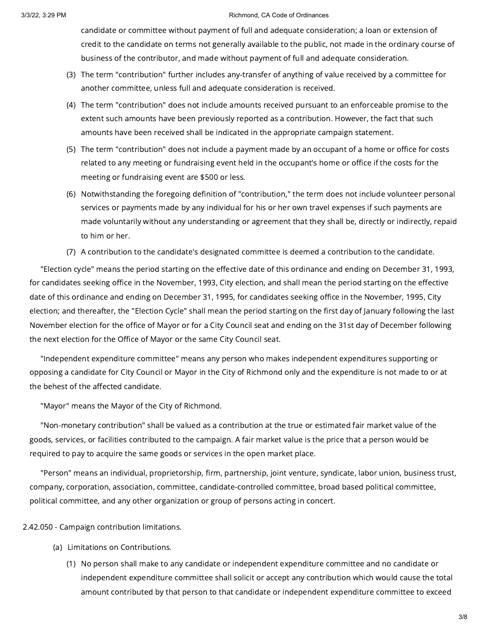candidate or committee without payment of full and adequate consideration; a loan or extension of credit to the candidate on terms not generally available to the public, not made in the ordinary course of business of the contributor, and made without payment of full and adequate consideration.

- (3) The term "contribution" further includes any-transfer of anything of value received by a committee for another committee, unless full and adequate consideration is received.
- (4) The term "contribution" does not include amounts received pursuant to an enforceable promise to the extent such amounts have been previously reported as a contribution. However, the fact that such amounts have been received shall be indicated in the appropriate campaign statement.
- (5) The term "contribution" does not include a payment made by an occupant of a home or office for costs related to any meeting or fundraising event held in the occupant's home or office if the costs for the meeting or fundraising event are \$500 or less.
- (6) Notwithstanding the foregoing definition of "contribution," the term does not include volunteer personal services or payments made by any individual for his or her own travel expenses if such payments are made voluntarily without any understanding or agreement that they shall be, directly or indirectly, repaid to him or her.
- (7) A contribution to the candidate's designated committee is deemed a contribution to the candidate.

"Election cycle" means the period starting on the effective date of this ordinance and ending on December 31, 1993, for candidates seeking office in the November, 1993, City election, and shall mean the period starting on the effective date of this ordinance and ending on December 31, 1995, for candidates seeking office in the November, 1995, City election; and thereafter, the "Election Cycle" shall mean the period starting on the first day of January following the last November election for the office of Mayor or for a City Council seat and ending on the 31st day of December following the next election for the Office of Mayor or the same City Council seat.

"Independent expenditure committee" means any person who makes independent expenditures supporting or opposing a candidate for City Council or Mayor in the City of Richmond only and the expenditure is not made to or at the behest of the affected candidate.

"Mayor" means the Mayor of the City of Richmond.

"Non-monetary contribution" shall be valued as a contribution at the true or estimated fair market value of the goods, services, or facilities contributed to the campaign. A fair market value is the price that a person would be required to pay to acquire the same goods or services in the open market place.

"Person" means an individual, proprietorship, firm, partnership, joint venture, syndicate, labor union, business trust, company, corporation, association, committee, candidate-controlled committee, broad based political committee, political committee, and any other organization or group of persons acting in concert.

2.42.050 - Campaign contribution limitations.

- (a) Limitations on Contributions.
	- (1) No person shall make to any candidate or independent expenditure committee and no candidate or independent expenditure committee shall solicit or accept any contribution which would cause the total amount contributed by that person to that candidate or independent expenditure committee to exceed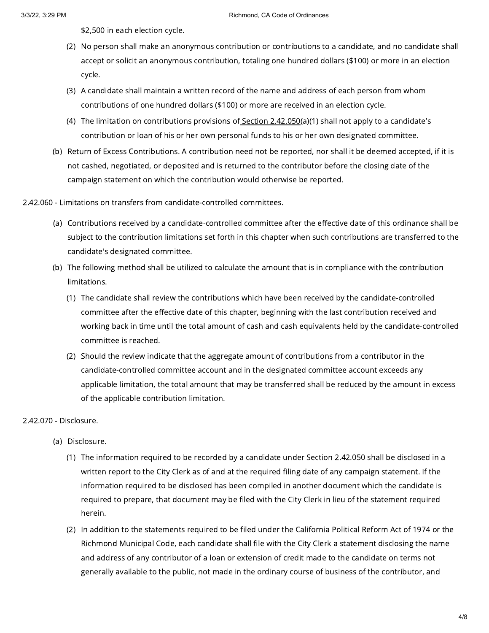\$2,500 in each election cycle.

- (2) No person shall make an anonymous contribution or contributions to a candidate, and no candidate shall accept or solicit an anonymous contribution, totaling one hundred dollars (\$100) or more in an election cycle.
- (3) A candidate shall maintain a written record of the name and address of each person from whom contributions of one hundred dollars (\$100) or more are received in an election cycle.
- (4) The limitation on contributions provisions of <u>Section [2.42.050](https://library.municode.com/)(</u>a)(1) shall not apply to a candidate's contribution or loan of his or her own personal funds to his or her own designated committee.
- (b) Return of Excess Contributions. A contribution need not be reported, nor shall it be deemed accepted, if it is not cashed, negotiated, or deposited and is returned to the contributor before the closing date of the campaign statement on which the contribution would otherwise be reported.

2.42.060 - Limitations on transfers from candidate-controlled committees.

- (a) Contributions received by a candidate-controlled committee after the effective date of this ordinance shall be subject to the contribution limitations set forth in this chapter when such contributions are transferred to the candidate's designated committee.
- (b) The following method shall be utilized to calculate the amount that is in compliance with the contribution limitations.
	- (1) The candidate shall review the contributions which have been received by the candidate-controlled committee after the effective date of this chapter, beginning with the last contribution received and working back in time until the total amount of cash and cash equivalents held by the candidate-controlled committee is reached.
	- (2) Should the review indicate that the aggregate amount of contributions from a contributor in the candidate-controlled committee account and in the designated committee account exceeds any applicable limitation, the total amount that may be transferred shall be reduced by the amount in excess of the applicable contribution limitation.

### 2.42.070 - Disclosure.

- (a) Disclosure.
	- (1) The information required to be recorded by a candidate under<u> Section [2.42.050](https://library.municode.com/)</u> shall be disclosed in a written report to the City Clerk as of and at the required filing date of any campaign statement. If the information required to be disclosed has been compiled in another document which the candidate is required to prepare, that document may be filed with the City Clerk in lieu of the statement required herein.
	- (2) In addition to the statements required to be filed under the California Political Reform Act of 1974 or the Richmond Municipal Code, each candidate shall file with the City Clerk a statement disclosing the name and address of any contributor of a loan or extension of credit made to the candidate on terms not generally available to the public, not made in the ordinary course of business of the contributor, and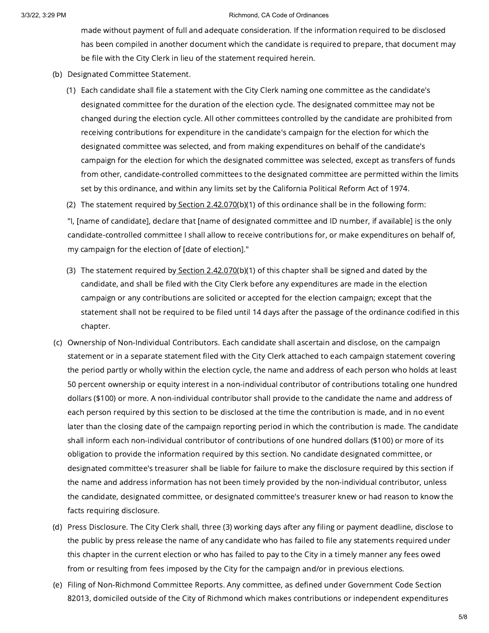made without payment of full and adequate consideration. If the information required to be disclosed has been compiled in another document which the candidate is required to prepare, that document may be file with the City Clerk in lieu of the statement required herein.

- (b) Designated Committee Statement.
	- (1) Each candidate shall file a statement with the City Clerk naming one committee as the candidate's designated committee for the duration of the election cycle. The designated committee may not be changed during the election cycle. All other committees controlled by the candidate are prohibited from receiving contributions for expenditure in the candidate's campaign for the election for which the designated committee was selected, and from making expenditures on behalf of the candidate's campaign for the election for which the designated committee was selected, except as transfers of funds from other, candidate-controlled committees to the designated committee are permitted within the limits set by this ordinance, and within any limits set by the California Political Reform Act of 1974.
	- (2) The statement required b<u>y Section [2.42.070](https://library.municode.com/)(</u>b)(1) of this ordinance shall be in the following form:

"I, [name of candidate], declare that [name of designated committee and ID number, if available] is the only candidate-controlled committee I shall allow to receive contributions for, or make expenditures on behalf of, my campaign for the election of [date of election]."

- (3) The statement required by <u>Section [2.42.070](https://library.municode.com/)</u>(b)(1) of this chapter shall be signed and dated by the candidate, and shall be filed with the City Clerk before any expenditures are made in the election campaign or any contributions are solicited or accepted for the election campaign; except that the statement shall not be required to be filed until 14 days after the passage of the ordinance codified in this chapter.
- (c) Ownership of Non-Individual Contributors. Each candidate shall ascertain and disclose, on the campaign statement or in a separate statement filed with the City Clerk attached to each campaign statement covering the period partly or wholly within the election cycle, the name and address of each person who holds at least 50 percent ownership or equity interest in a non-individual contributor of contributions totaling one hundred dollars (\$100) or more. A non-individual contributor shall provide to the candidate the name and address of each person required by this section to be disclosed at the time the contribution is made, and in no event later than the closing date of the campaign reporting period in which the contribution is made. The candidate shall inform each non-individual contributor of contributions of one hundred dollars (\$100) or more of its obligation to provide the information required by this section. No candidate designated committee, or designated committee's treasurer shall be liable for failure to make the disclosure required by this section if the name and address information has not been timely provided by the non-individual contributor, unless the candidate, designated committee, or designated committee's treasurer knew or had reason to know the facts requiring disclosure.
- (d) Press Disclosure. The City Clerk shall, three (3) working days after any filing or payment deadline, disclose to the public by press release the name of any candidate who has failed to file any statements required under this chapter in the current election or who has failed to pay to the City in a timely manner any fees owed from or resulting from fees imposed by the City for the campaign and/or in previous elections.
- (e) Filing of Non-Richmond Committee Reports. Any committee, as defined under Government Code Section 82013, domiciled outside of the City of Richmond which makes contributions or independent expenditures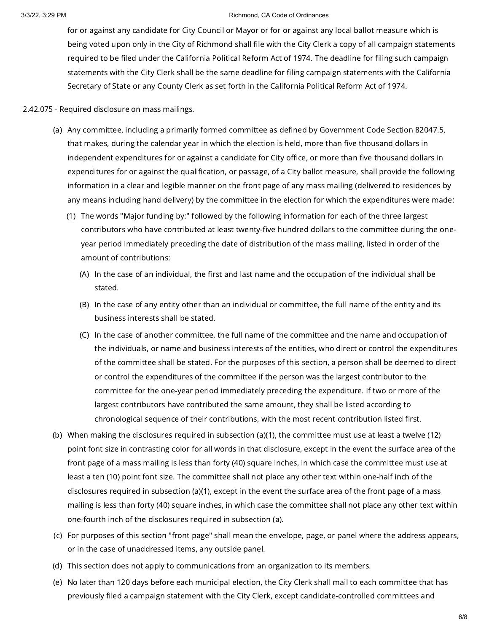for or against any candidate for City Council or Mayor or for or against any local ballot measure which is being voted upon only in the City of Richmond shall file with the City Clerk a copy of all campaign statements required to be filed under the California Political Reform Act of 1974. The deadline for filing such campaign statements with the City Clerk shall be the same deadline for filing campaign statements with the California Secretary of State or any County Clerk as set forth in the California Political Reform Act of 1974.

### 2.42.075 - Required disclosure on mass mailings.

- (a) Any committee, including a primarily formed committee as defined by Government Code Section 82047.5, that makes, during the calendar year in which the election is held, more than five thousand dollars in independent expenditures for or against a candidate for City office, or more than five thousand dollars in expenditures for or against the qualification, or passage, of a City ballot measure, shall provide the following information in a clear and legible manner on the front page of any mass mailing (delivered to residences by any means including hand delivery) by the committee in the election for which the expenditures were made:
	- (1) The words "Major funding by:" followed by the following information for each of the three largest contributors who have contributed at least twenty-five hundred dollars to the committee during the oneyear period immediately preceding the date of distribution of the mass mailing, listed in order of the amount of contributions:
		- (A) In the case of an individual, the first and last name and the occupation of the individual shall be stated.
		- (B) In the case of any entity other than an individual or committee, the full name of the entity and its business interests shall be stated.
		- (C) In the case of another committee, the full name of the committee and the name and occupation of the individuals, or name and business interests of the entities, who direct or control the expenditures of the committee shall be stated. For the purposes of this section, a person shall be deemed to direct or control the expenditures of the committee if the person was the largest contributor to the committee for the one-year period immediately preceding the expenditure. If two or more of the largest contributors have contributed the same amount, they shall be listed according to chronological sequence of their contributions, with the most recent contribution listed first.
- (b) When making the disclosures required in subsection (a)(1), the committee must use at least a twelve (12) point font size in contrasting color for all words in that disclosure, except in the event the surface area of the front page of a mass mailing is less than forty (40) square inches, in which case the committee must use at least a ten (10) point font size. The committee shall not place any other text within one-half inch of the disclosures required in subsection (a)(1), except in the event the surface area of the front page of a mass mailing is less than forty (40) square inches, in which case the committee shall not place any other text within one-fourth inch of the disclosures required in subsection (a).
- (c) For purposes of this section "front page" shall mean the envelope, page, or panel where the address appears, or in the case of unaddressed items, any outside panel.
- (d) This section does not apply to communications from an organization to its members.
- (e) No later than 120 days before each municipal election, the City Clerk shall mail to each committee that has previously filed a campaign statement with the City Clerk, except candidate-controlled committees and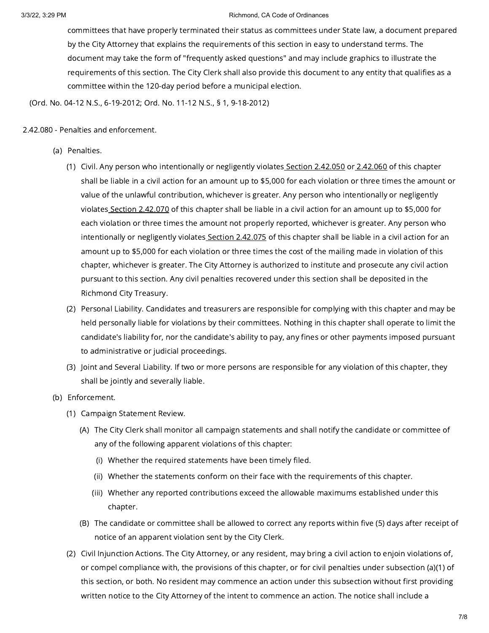committees that have properly terminated their status as committees under State law, a document prepared by the City Attorney that explains the requirements of this section in easy to understand terms. The document may take the form of "frequently asked questions" and may include graphics to illustrate the requirements of this section. The City Clerk shall also provide this document to any entity that qualifies as a committee within the 120-day period before a municipal election.

(Ord. No. 04-12 N.S., 6-19-2012; Ord. No. 11-12 N.S., § 1, 9-18-2012)

## 2.42.080 - Penalties and enforcement.

- (a) Penalties.
	- (1) Civil. Any person who intentionally or negligently violates<u> Section [2.42.050](https://library.municode.com/)</u> or <u>[2.42.060](https://library.municode.com/)</u> of this chapter shall be liable in a civil action for an amount up to \$5,000 for each violation or three times the amount or value of the unlawful contribution, whichever is greater. Any person who intentionally or negligently violates Section [2.42.070](https://library.municode.com/) of this chapter shall be liable in a civil action for an amount up to \$5,000 for each violation or three times the amount not properly reported, whichever is greater. Any person who intentionally or negligently violates Section [2.42.075](https://library.municode.com/) of this chapter shall be liable in a civil action for an amount up to \$5,000 for each violation or three times the cost of the mailing made in violation of this chapter, whichever is greater. The City Attorney is authorized to institute and prosecute any civil action pursuant to this section. Any civil penalties recovered under this section shall be deposited in the Richmond City Treasury.
	- (2) Personal Liability. Candidates and treasurers are responsible for complying with this chapter and may be held personally liable for violations by their committees. Nothing in this chapter shall operate to limit the candidate's liability for, nor the candidate's ability to pay, any fines or other payments imposed pursuant to administrative or judicial proceedings.
	- (3) Joint and Several Liability. If two or more persons are responsible for any violation of this chapter, they shall be jointly and severally liable.
- (b) Enforcement.
	- (1) Campaign Statement Review.
		- (A) The City Clerk shall monitor all campaign statements and shall notify the candidate or committee of any of the following apparent violations of this chapter:
			- (i) Whether the required statements have been timely filed.
			- (ii) Whether the statements conform on their face with the requirements of this chapter.
			- (iii) Whether any reported contributions exceed the allowable maximums established under this chapter.
		- (B) The candidate or committee shall be allowed to correct any reports within five (5) days after receipt of notice of an apparent violation sent by the City Clerk.
	- (2) Civil Injunction Actions. The City Attorney, or any resident, may bring a civil action to enjoin violations of, or compel compliance with, the provisions of this chapter, or for civil penalties under subsection (a)(1) of this section, or both. No resident may commence an action under this subsection without first providing written notice to the City Attorney of the intent to commence an action. The notice shall include a